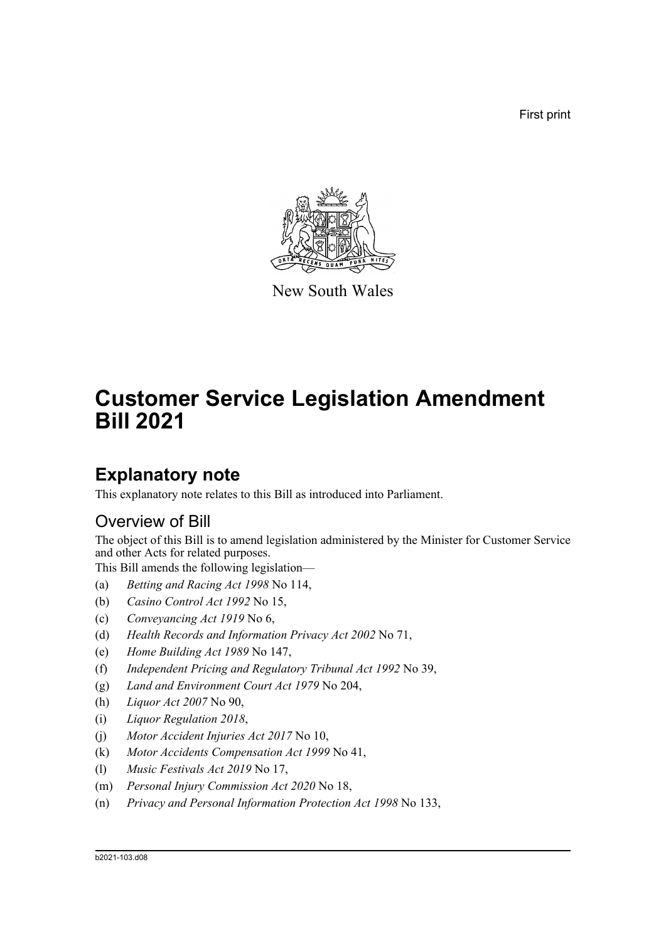First print



New South Wales

# **Customer Service Legislation Amendment Bill 2021**

### **Explanatory note**

This explanatory note relates to this Bill as introduced into Parliament.

### Overview of Bill

The object of this Bill is to amend legislation administered by the Minister for Customer Service and other Acts for related purposes.

This Bill amends the following legislation—

- (a) *Betting and Racing Act 1998* No 114,
- (b) *Casino Control Act 1992* No 15,
- (c) *Conveyancing Act 1919* No 6,
- (d) *Health Records and Information Privacy Act 2002* No 71,
- (e) *Home Building Act 1989* No 147,
- (f) *Independent Pricing and Regulatory Tribunal Act 1992* No 39,
- (g) *Land and Environment Court Act 1979* No 204,
- (h) *Liquor Act 2007* No 90,
- (i) *Liquor Regulation 2018*,
- (j) *Motor Accident Injuries Act 2017* No 10,
- (k) *Motor Accidents Compensation Act 1999* No 41,
- (l) *Music Festivals Act 2019* No 17,
- (m) *Personal Injury Commission Act 2020* No 18,
- (n) *Privacy and Personal Information Protection Act 1998* No 133,

#### b2021-103.d08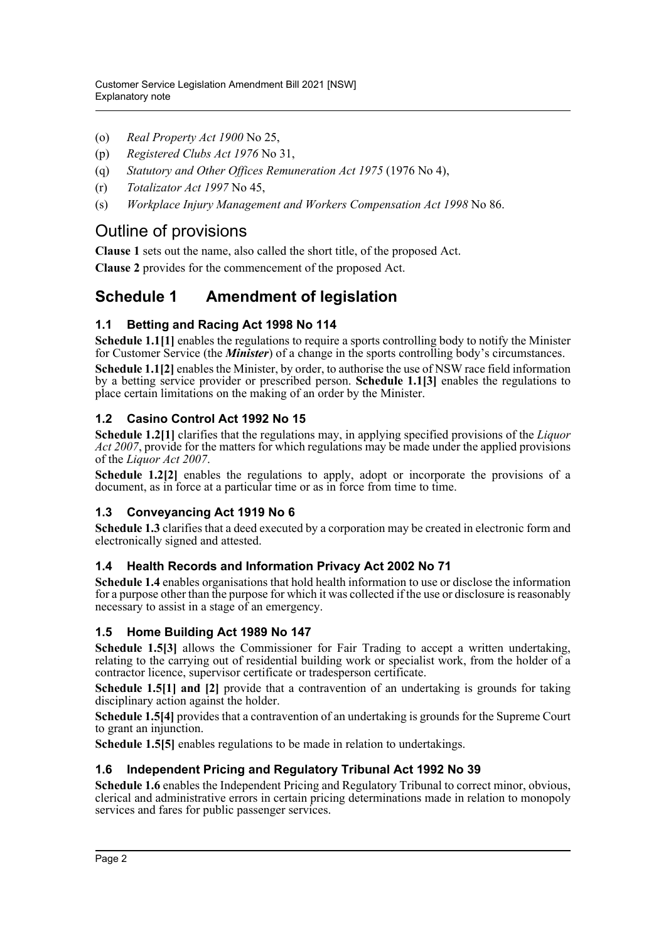- (o) *Real Property Act 1900* No 25,
- (p) *Registered Clubs Act 1976* No 31,
- (q) *Statutory and Other Offices Remuneration Act 1975* (1976 No 4),
- (r) *Totalizator Act 1997* No 45,
- (s) *Workplace Injury Management and Workers Compensation Act 1998* No 86.

### Outline of provisions

**Clause 1** sets out the name, also called the short title, of the proposed Act.

**Clause 2** provides for the commencement of the proposed Act.

### **Schedule 1 Amendment of legislation**

#### **1.1 Betting and Racing Act 1998 No 114**

**Schedule 1.1[1]** enables the regulations to require a sports controlling body to notify the Minister for Customer Service (the *Minister*) of a change in the sports controlling body's circumstances.

**Schedule 1.1[2]** enables the Minister, by order, to authorise the use of NSW race field information by a betting service provider or prescribed person. **Schedule 1.1[3]** enables the regulations to place certain limitations on the making of an order by the Minister.

#### **1.2 Casino Control Act 1992 No 15**

**Schedule 1.2[1]** clarifies that the regulations may, in applying specified provisions of the *Liquor Act 2007*, provide for the matters for which regulations may be made under the applied provisions of the *Liquor Act 2007*.

**Schedule 1.2[2]** enables the regulations to apply, adopt or incorporate the provisions of a document, as in force at a particular time or as in force from time to time.

#### **1.3 Conveyancing Act 1919 No 6**

**Schedule 1.3** clarifies that a deed executed by a corporation may be created in electronic form and electronically signed and attested.

#### **1.4 Health Records and Information Privacy Act 2002 No 71**

**Schedule 1.4** enables organisations that hold health information to use or disclose the information for a purpose other than the purpose for which it was collected if the use or disclosure is reasonably necessary to assist in a stage of an emergency.

#### **1.5 Home Building Act 1989 No 147**

**Schedule 1.5[3]** allows the Commissioner for Fair Trading to accept a written undertaking, relating to the carrying out of residential building work or specialist work, from the holder of a contractor licence, supervisor certificate or tradesperson certificate.

**Schedule 1.5[1] and [2]** provide that a contravention of an undertaking is grounds for taking disciplinary action against the holder.

**Schedule 1.5[4]** provides that a contravention of an undertaking is grounds for the Supreme Court to grant an injunction.

**Schedule 1.5[5]** enables regulations to be made in relation to undertakings.

#### **1.6 Independent Pricing and Regulatory Tribunal Act 1992 No 39**

**Schedule 1.6** enables the Independent Pricing and Regulatory Tribunal to correct minor, obvious, clerical and administrative errors in certain pricing determinations made in relation to monopoly services and fares for public passenger services.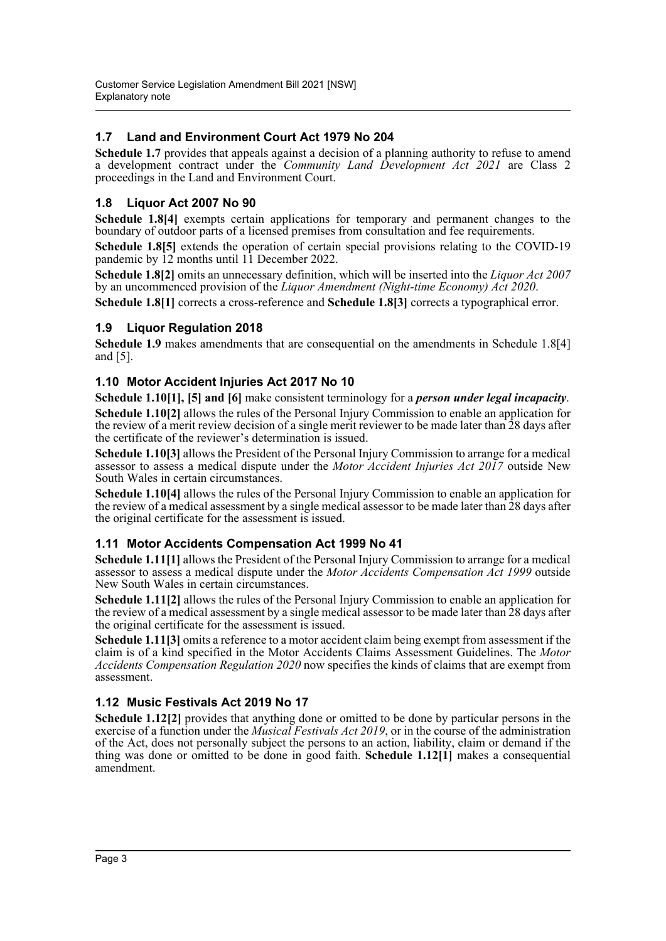#### **1.7 Land and Environment Court Act 1979 No 204**

**Schedule 1.7** provides that appeals against a decision of a planning authority to refuse to amend a development contract under the *Community Land Development Act 2021* are Class 2 proceedings in the Land and Environment Court.

#### **1.8 Liquor Act 2007 No 90**

**Schedule 1.8[4]** exempts certain applications for temporary and permanent changes to the boundary of outdoor parts of a licensed premises from consultation and fee requirements.

**Schedule 1.8[5]** extends the operation of certain special provisions relating to the COVID-19 pandemic by 12 months until 11 December 2022.

**Schedule 1.8[2]** omits an unnecessary definition, which will be inserted into the *Liquor Act 2007* by an uncommenced provision of the *Liquor Amendment (Night-time Economy) Act 2020*.

**Schedule 1.8[1]** corrects a cross-reference and **Schedule 1.8[3]** corrects a typographical error.

#### **1.9 Liquor Regulation 2018**

**Schedule 1.9** makes amendments that are consequential on the amendments in Schedule 1.8[4] and [5].

#### **1.10 Motor Accident Injuries Act 2017 No 10**

**Schedule 1.10[1], [5] and [6]** make consistent terminology for a *person under legal incapacity*. **Schedule 1.10[2]** allows the rules of the Personal Injury Commission to enable an application for the review of a merit review decision of a single merit reviewer to be made later than 28 days after the certificate of the reviewer's determination is issued.

**Schedule 1.10[3]** allows the President of the Personal Injury Commission to arrange for a medical assessor to assess a medical dispute under the *Motor Accident Injuries Act 2017* outside New South Wales in certain circumstances.

**Schedule 1.10[4]** allows the rules of the Personal Injury Commission to enable an application for the review of a medical assessment by a single medical assessor to be made later than 28 days after the original certificate for the assessment is issued.

#### **1.11 Motor Accidents Compensation Act 1999 No 41**

**Schedule 1.11[1]** allows the President of the Personal Injury Commission to arrange for a medical assessor to assess a medical dispute under the *Motor Accidents Compensation Act 1999* outside New South Wales in certain circumstances.

**Schedule 1.11[2]** allows the rules of the Personal Injury Commission to enable an application for the review of a medical assessment by a single medical assessor to be made later than 28 days after the original certificate for the assessment is issued.

**Schedule 1.11[3]** omits a reference to a motor accident claim being exempt from assessment if the claim is of a kind specified in the Motor Accidents Claims Assessment Guidelines. The *Motor Accidents Compensation Regulation 2020* now specifies the kinds of claims that are exempt from assessment.

#### **1.12 Music Festivals Act 2019 No 17**

**Schedule 1.12[2]** provides that anything done or omitted to be done by particular persons in the exercise of a function under the *Musical Festivals Act 2019*, or in the course of the administration of the Act, does not personally subject the persons to an action, liability, claim or demand if the thing was done or omitted to be done in good faith. **Schedule 1.12[1]** makes a consequential amendment.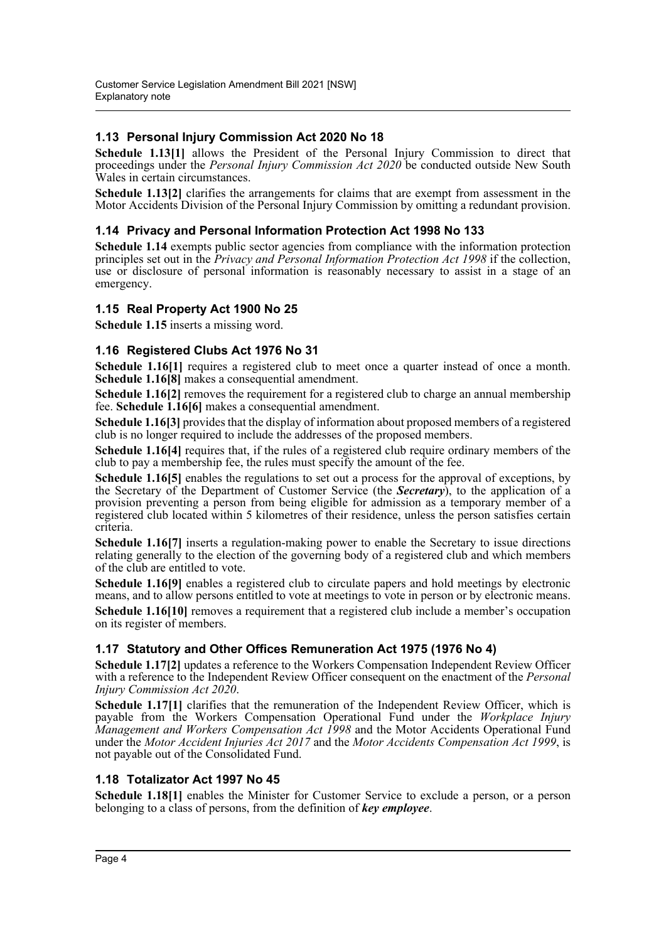#### **1.13 Personal Injury Commission Act 2020 No 18**

**Schedule 1.13[1]** allows the President of the Personal Injury Commission to direct that proceedings under the *Personal Injury Commission Act 2020* be conducted outside New South Wales in certain circumstances.

**Schedule 1.13[2]** clarifies the arrangements for claims that are exempt from assessment in the Motor Accidents Division of the Personal Injury Commission by omitting a redundant provision.

#### **1.14 Privacy and Personal Information Protection Act 1998 No 133**

**Schedule 1.14** exempts public sector agencies from compliance with the information protection principles set out in the *Privacy and Personal Information Protection Act 1998* if the collection, use or disclosure of personal information is reasonably necessary to assist in a stage of an emergency.

#### **1.15 Real Property Act 1900 No 25**

**Schedule 1.15** inserts a missing word.

#### **1.16 Registered Clubs Act 1976 No 31**

**Schedule 1.16[1]** requires a registered club to meet once a quarter instead of once a month. **Schedule 1.16[8]** makes a consequential amendment.

**Schedule 1.16[2]** removes the requirement for a registered club to charge an annual membership fee. **Schedule 1.16[6]** makes a consequential amendment.

**Schedule 1.16[3]** provides that the display of information about proposed members of a registered club is no longer required to include the addresses of the proposed members.

**Schedule 1.16[4]** requires that, if the rules of a registered club require ordinary members of the club to pay a membership fee, the rules must specify the amount of the fee.

Schedule 1.16[5] enables the regulations to set out a process for the approval of exceptions, by the Secretary of the Department of Customer Service (the *Secretary*), to the application of a provision preventing a person from being eligible for admission as a temporary member of a registered club located within 5 kilometres of their residence, unless the person satisfies certain criteria.

**Schedule 1.16[7]** inserts a regulation-making power to enable the Secretary to issue directions relating generally to the election of the governing body of a registered club and which members of the club are entitled to vote.

**Schedule 1.16[9]** enables a registered club to circulate papers and hold meetings by electronic means, and to allow persons entitled to vote at meetings to vote in person or by electronic means.

**Schedule 1.16[10]** removes a requirement that a registered club include a member's occupation on its register of members.

#### **1.17 Statutory and Other Offices Remuneration Act 1975 (1976 No 4)**

**Schedule 1.17[2]** updates a reference to the Workers Compensation Independent Review Officer with a reference to the Independent Review Officer consequent on the enactment of the *Personal Injury Commission Act 2020*.

**Schedule 1.17[1]** clarifies that the remuneration of the Independent Review Officer, which is payable from the Workers Compensation Operational Fund under the *Workplace Injury Management and Workers Compensation Act 1998* and the Motor Accidents Operational Fund under the *Motor Accident Injuries Act 2017* and the *Motor Accidents Compensation Act 1999*, is not payable out of the Consolidated Fund.

#### **1.18 Totalizator Act 1997 No 45**

**Schedule 1.18[1]** enables the Minister for Customer Service to exclude a person, or a person belonging to a class of persons, from the definition of *key employee*.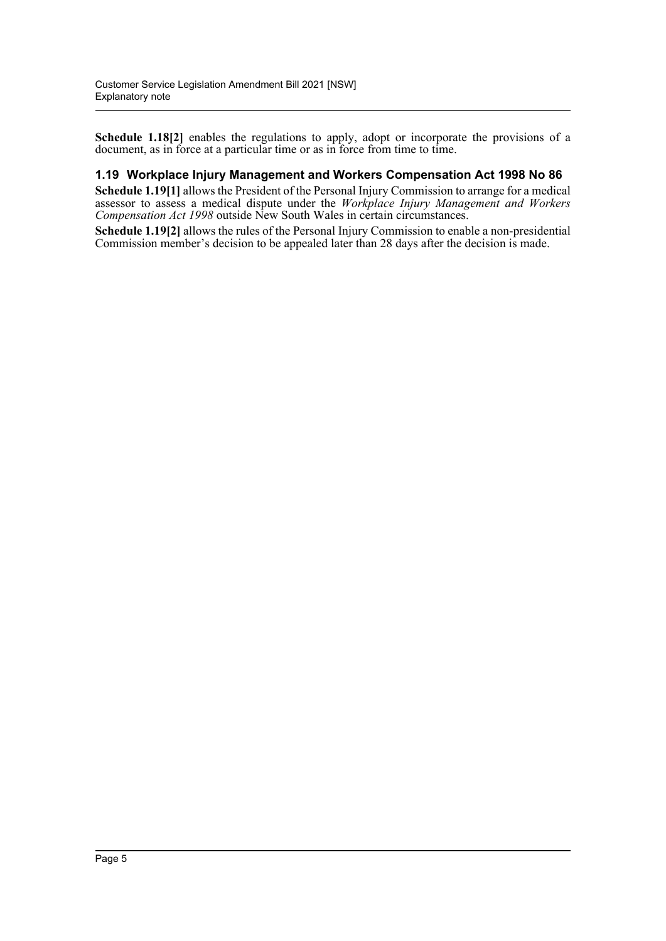**Schedule 1.18[2]** enables the regulations to apply, adopt or incorporate the provisions of a document, as in force at a particular time or as in force from time to time.

#### **1.19 Workplace Injury Management and Workers Compensation Act 1998 No 86**

**Schedule 1.19[1]** allows the President of the Personal Injury Commission to arrange for a medical assessor to assess a medical dispute under the *Workplace Injury Management and Workers Compensation Act 1998* outside New South Wales in certain circumstances.

**Schedule 1.19[2]** allows the rules of the Personal Injury Commission to enable a non-presidential Commission member's decision to be appealed later than 28 days after the decision is made.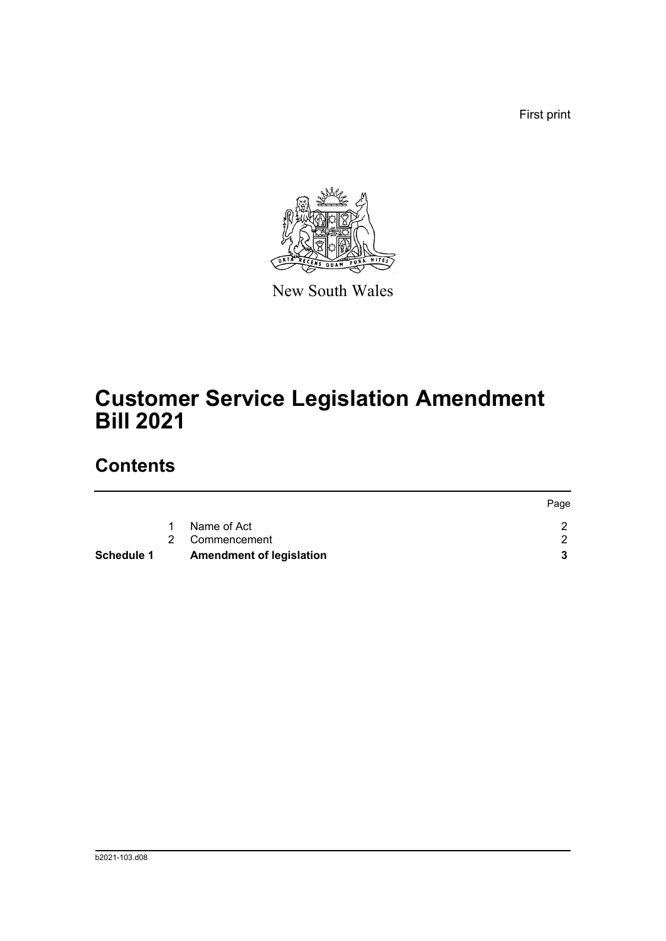First print



New South Wales

# **Customer Service Legislation Amendment Bill 2021**

## **Contents**

| Schedule 1 | <b>Amendment of legislation</b> |      |
|------------|---------------------------------|------|
|            | 2 Commencement                  |      |
|            | Name of Act                     |      |
|            |                                 | Page |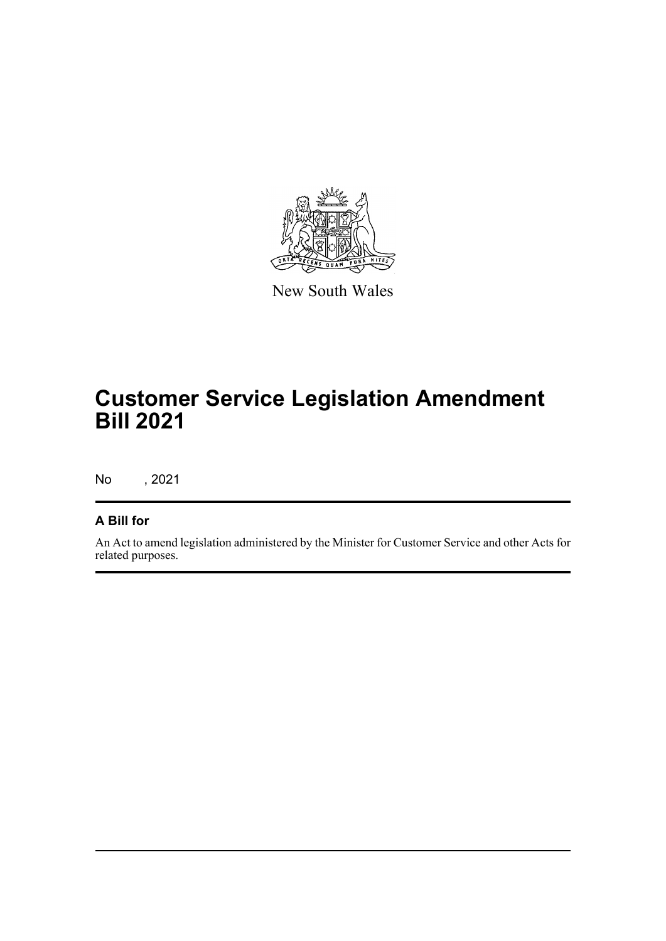

New South Wales

## **Customer Service Legislation Amendment Bill 2021**

No , 2021

### **A Bill for**

An Act to amend legislation administered by the Minister for Customer Service and other Acts for related purposes.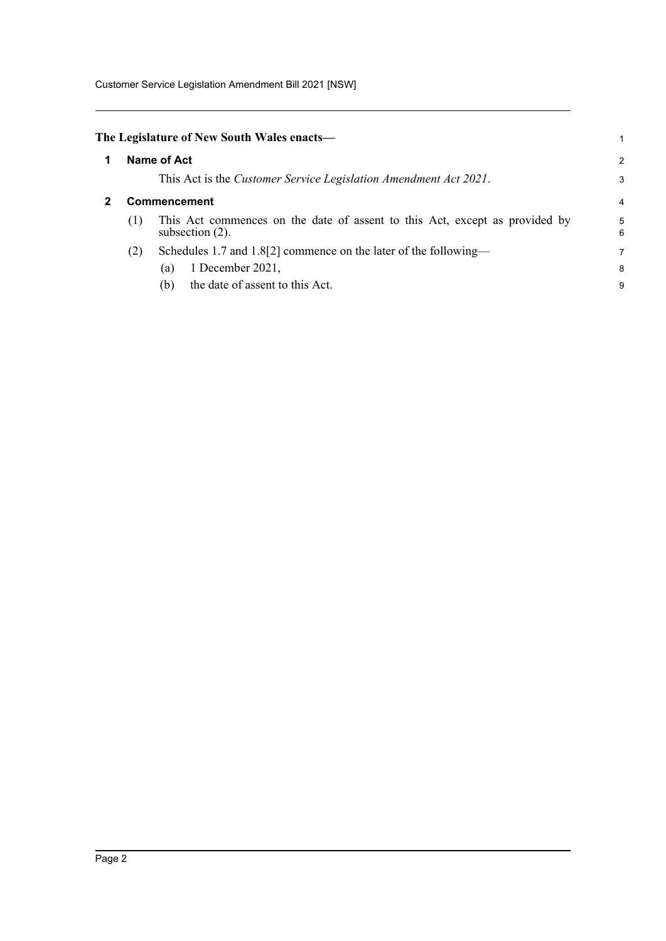Customer Service Legislation Amendment Bill 2021 [NSW]

<span id="page-7-1"></span><span id="page-7-0"></span>

|                     | The Legislature of New South Wales enacts—                                                        |        |
|---------------------|---------------------------------------------------------------------------------------------------|--------|
|                     | <b>Name of Act</b>                                                                                | 2      |
|                     | This Act is the Customer Service Legislation Amendment Act 2021.                                  | 3      |
| <b>Commencement</b> |                                                                                                   |        |
| (1)                 | This Act commences on the date of assent to this Act, except as provided by<br>subsection $(2)$ . | 5<br>6 |
| (2)                 | Schedules 1.7 and 1.8[2] commence on the later of the following—                                  | 7      |
|                     | 1 December 2021,<br>(a)                                                                           | 8      |
|                     | the date of assent to this Act.<br>(b)                                                            | 9      |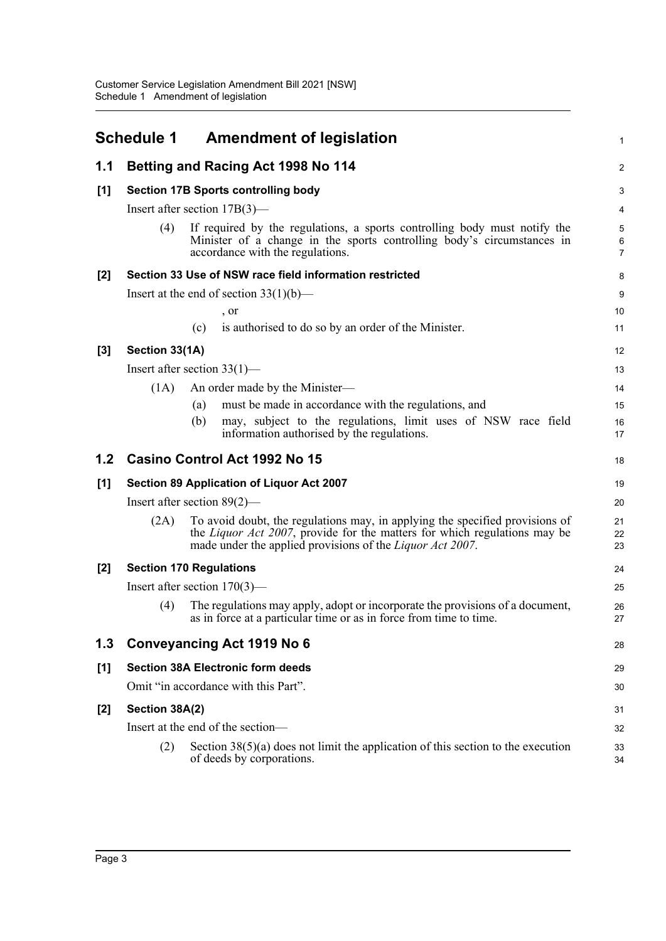<span id="page-8-0"></span>

|       | <b>Schedule 1</b> | <b>Amendment of legislation</b>                                                                                                                                                                                                | 1              |
|-------|-------------------|--------------------------------------------------------------------------------------------------------------------------------------------------------------------------------------------------------------------------------|----------------|
| 1.1   |                   | <b>Betting and Racing Act 1998 No 114</b>                                                                                                                                                                                      | $\overline{c}$ |
| [1]   |                   | <b>Section 17B Sports controlling body</b>                                                                                                                                                                                     | 3              |
|       |                   | Insert after section $17B(3)$ —                                                                                                                                                                                                | 4              |
|       | (4)               | If required by the regulations, a sports controlling body must notify the<br>Minister of a change in the sports controlling body's circumstances in<br>accordance with the regulations.                                        | 5<br>6<br>7    |
| $[2]$ |                   | Section 33 Use of NSW race field information restricted                                                                                                                                                                        | 8              |
|       |                   | Insert at the end of section $33(1)(b)$ —                                                                                                                                                                                      | 9              |
|       |                   | , or                                                                                                                                                                                                                           | 10             |
|       |                   | is authorised to do so by an order of the Minister.<br>(c)                                                                                                                                                                     | 11             |
| $[3]$ | Section 33(1A)    |                                                                                                                                                                                                                                | 12             |
|       |                   | Insert after section $33(1)$ —                                                                                                                                                                                                 | 13             |
|       | (1A)              | An order made by the Minister-                                                                                                                                                                                                 | 14             |
|       |                   | must be made in accordance with the regulations, and<br>(a)                                                                                                                                                                    | 15             |
|       |                   | may, subject to the regulations, limit uses of NSW race field<br>(b)<br>information authorised by the regulations.                                                                                                             | 16<br>17       |
| 1.2   |                   | Casino Control Act 1992 No 15                                                                                                                                                                                                  | 18             |
| [1]   |                   | Section 89 Application of Liquor Act 2007                                                                                                                                                                                      | 19             |
|       |                   | Insert after section $89(2)$ —                                                                                                                                                                                                 | 20             |
|       | (2A)              | To avoid doubt, the regulations may, in applying the specified provisions of<br>the Liquor Act 2007, provide for the matters for which regulations may be<br>made under the applied provisions of the <i>Liquor Act 2007</i> . | 21<br>22<br>23 |
| $[2]$ |                   | <b>Section 170 Regulations</b>                                                                                                                                                                                                 | 24             |
|       |                   | Insert after section $170(3)$ —                                                                                                                                                                                                | 25             |
|       | (4)               | The regulations may apply, adopt or incorporate the provisions of a document,<br>as in force at a particular time or as in force from time to time.                                                                            | 26<br>27       |
| 1.3   |                   | <b>Conveyancing Act 1919 No 6</b>                                                                                                                                                                                              | 28             |
| [1]   |                   | <b>Section 38A Electronic form deeds</b>                                                                                                                                                                                       | 29             |
|       |                   | Omit "in accordance with this Part".                                                                                                                                                                                           | 30             |
| [2]   | Section 38A(2)    |                                                                                                                                                                                                                                | 31             |
|       |                   | Insert at the end of the section-                                                                                                                                                                                              | 32             |
|       | (2)               | Section $38(5)(a)$ does not limit the application of this section to the execution                                                                                                                                             | 33             |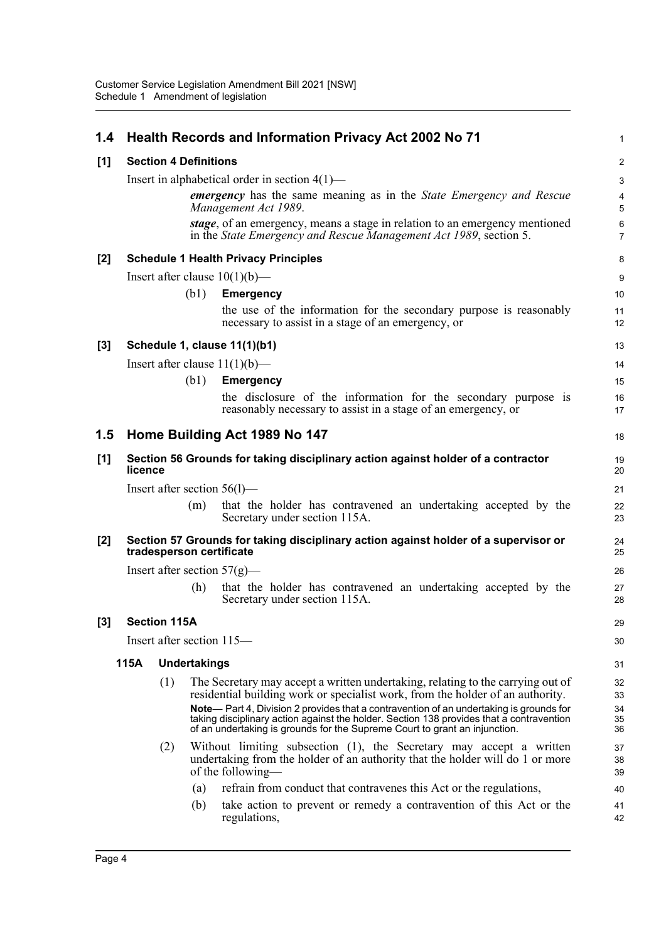| 1.4   |         |                              |                     | <b>Health Records and Information Privacy Act 2002 No 71</b>                                                                                                                                                                                                      | 1                                |
|-------|---------|------------------------------|---------------------|-------------------------------------------------------------------------------------------------------------------------------------------------------------------------------------------------------------------------------------------------------------------|----------------------------------|
| [1]   |         | <b>Section 4 Definitions</b> |                     |                                                                                                                                                                                                                                                                   | $\overline{2}$                   |
|       |         |                              |                     | Insert in alphabetical order in section $4(1)$ —                                                                                                                                                                                                                  | $\mathbf{3}$                     |
|       |         |                              |                     | <b>emergency</b> has the same meaning as in the <i>State Emergency and Rescue</i><br>Management Act 1989.                                                                                                                                                         | $\overline{4}$<br>5              |
|       |         |                              |                     | stage, of an emergency, means a stage in relation to an emergency mentioned<br>in the State Emergency and Rescue Management Act 1989, section 5.                                                                                                                  | $6\phantom{1}$<br>$\overline{7}$ |
| $[2]$ |         |                              |                     | <b>Schedule 1 Health Privacy Principles</b>                                                                                                                                                                                                                       | 8                                |
|       |         |                              |                     | Insert after clause $10(1)(b)$ —                                                                                                                                                                                                                                  | 9                                |
|       |         |                              | (b1)                | <b>Emergency</b>                                                                                                                                                                                                                                                  | 10                               |
|       |         |                              |                     | the use of the information for the secondary purpose is reasonably<br>necessary to assist in a stage of an emergency, or                                                                                                                                          | 11<br>12                         |
| $[3]$ |         |                              |                     | Schedule 1, clause 11(1)(b1)                                                                                                                                                                                                                                      | 13                               |
|       |         |                              |                     | Insert after clause $11(1)(b)$ —                                                                                                                                                                                                                                  | 14                               |
|       |         |                              | (b1)                | <b>Emergency</b>                                                                                                                                                                                                                                                  | 15                               |
|       |         |                              |                     | the disclosure of the information for the secondary purpose is<br>reasonably necessary to assist in a stage of an emergency, or                                                                                                                                   | 16<br>17                         |
| 1.5   |         |                              |                     | Home Building Act 1989 No 147                                                                                                                                                                                                                                     | 18                               |
| [1]   | licence |                              |                     | Section 56 Grounds for taking disciplinary action against holder of a contractor                                                                                                                                                                                  | 19<br>20                         |
|       |         |                              |                     | Insert after section $56(1)$ —                                                                                                                                                                                                                                    | 21                               |
|       |         |                              | (m)                 | that the holder has contravened an undertaking accepted by the<br>Secretary under section 115A.                                                                                                                                                                   | 22<br>23                         |
| $[2]$ |         |                              |                     | Section 57 Grounds for taking disciplinary action against holder of a supervisor or<br>tradesperson certificate                                                                                                                                                   | 24<br>25                         |
|       |         |                              |                     | Insert after section $57(g)$ —                                                                                                                                                                                                                                    | 26                               |
|       |         |                              | (h)                 | that the holder has contravened an undertaking accepted by the<br>Secretary under section 115A.                                                                                                                                                                   | 27<br>28                         |
| [3]   |         | <b>Section 115A</b>          |                     |                                                                                                                                                                                                                                                                   | 29                               |
|       |         |                              |                     | Insert after section 115—                                                                                                                                                                                                                                         | 30                               |
|       | 115A    |                              | <b>Undertakings</b> |                                                                                                                                                                                                                                                                   | 31                               |
|       |         | (1)                          |                     | The Secretary may accept a written undertaking, relating to the carrying out of<br>residential building work or specialist work, from the holder of an authority.                                                                                                 | 32<br>33                         |
|       |         |                              |                     | Note— Part 4, Division 2 provides that a contravention of an undertaking is grounds for<br>taking disciplinary action against the holder. Section 138 provides that a contravention<br>of an undertaking is grounds for the Supreme Court to grant an injunction. | 34<br>35<br>36                   |
|       |         | (2)                          |                     | Without limiting subsection (1), the Secretary may accept a written<br>undertaking from the holder of an authority that the holder will do 1 or more<br>of the following—                                                                                         | 37<br>38<br>39                   |
|       |         |                              | (a)                 | refrain from conduct that contravenes this Act or the regulations,                                                                                                                                                                                                | 40                               |
|       |         |                              | (b)                 | take action to prevent or remedy a contravention of this Act or the<br>regulations,                                                                                                                                                                               | 41<br>42                         |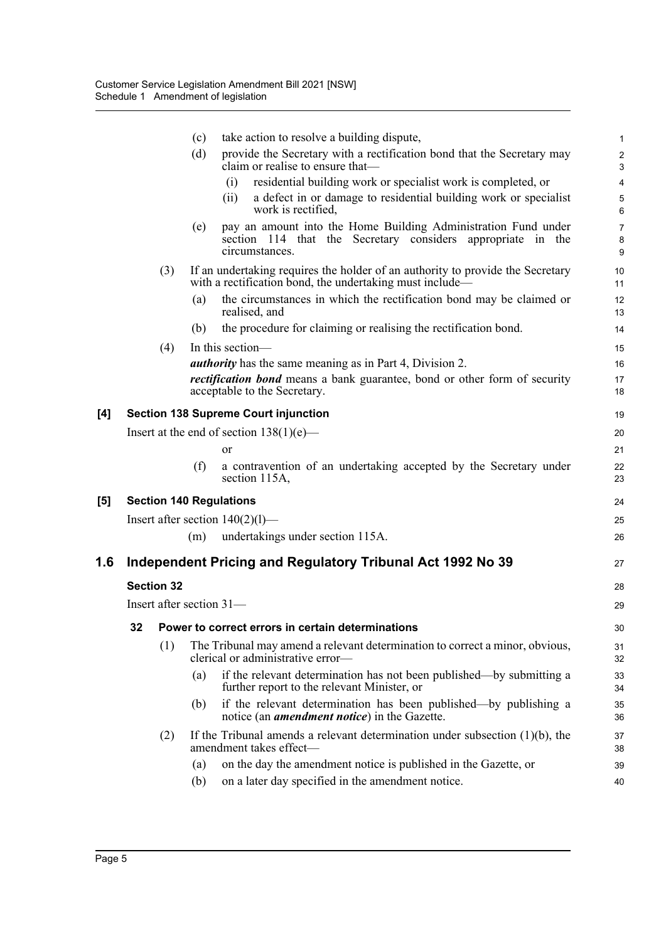|     |    |                   | (c)                      | take action to resolve a building dispute,                                                                                                      | 1                              |
|-----|----|-------------------|--------------------------|-------------------------------------------------------------------------------------------------------------------------------------------------|--------------------------------|
|     |    |                   | (d)                      | provide the Secretary with a rectification bond that the Secretary may<br>claim or realise to ensure that—                                      | $\boldsymbol{2}$<br>3          |
|     |    |                   |                          | residential building work or specialist work is completed, or<br>(i)                                                                            | $\overline{4}$                 |
|     |    |                   |                          | a defect in or damage to residential building work or specialist<br>(ii)<br>work is rectified,                                                  | $\mathbf 5$<br>$\,6\,$         |
|     |    |                   | (e)                      | pay an amount into the Home Building Administration Fund under<br>section 114 that the Secretary considers appropriate in the<br>circumstances. | $\overline{7}$<br>$\bf 8$<br>9 |
|     |    | (3)               |                          | If an undertaking requires the holder of an authority to provide the Secretary<br>with a rectification bond, the undertaking must include—      | 10<br>11                       |
|     |    |                   | (a)                      | the circumstances in which the rectification bond may be claimed or<br>realised, and                                                            | 12<br>13                       |
|     |    |                   | (b)                      | the procedure for claiming or realising the rectification bond.                                                                                 | 14                             |
|     |    | (4)               |                          | In this section-                                                                                                                                | 15                             |
|     |    |                   |                          | <i>authority</i> has the same meaning as in Part 4, Division 2.                                                                                 | 16                             |
|     |    |                   |                          | <i>rectification bond</i> means a bank guarantee, bond or other form of security<br>acceptable to the Secretary.                                | 17<br>18                       |
| [4] |    |                   |                          | <b>Section 138 Supreme Court injunction</b>                                                                                                     | 19                             |
|     |    |                   |                          | Insert at the end of section $138(1)(e)$ —                                                                                                      | 20                             |
|     |    |                   |                          | <b>or</b>                                                                                                                                       | 21                             |
|     |    |                   | (f)                      | a contravention of an undertaking accepted by the Secretary under<br>section 115A,                                                              | 22<br>23                       |
| [5] |    |                   |                          | <b>Section 140 Regulations</b>                                                                                                                  | 24                             |
|     |    |                   |                          | Insert after section $140(2)(1)$ —                                                                                                              | 25                             |
|     |    |                   | (m)                      | undertakings under section 115A.                                                                                                                | 26                             |
| 1.6 |    |                   |                          | Independent Pricing and Regulatory Tribunal Act 1992 No 39                                                                                      | 27                             |
|     |    | <b>Section 32</b> |                          |                                                                                                                                                 | 28                             |
|     |    |                   | Insert after section 31- |                                                                                                                                                 | 29                             |
|     | 32 |                   |                          | Power to correct errors in certain determinations                                                                                               | 30                             |
|     |    | (1)               |                          | The Tribunal may amend a relevant determination to correct a minor, obvious,<br>clerical or administrative error-                               | 31<br>32                       |
|     |    |                   | (a)                      | if the relevant determination has not been published—by submitting a<br>further report to the relevant Minister, or                             | 33<br>34                       |
|     |    |                   | (b)                      | if the relevant determination has been published—by publishing a<br>notice (an <i>amendment notice</i> ) in the Gazette.                        | 35<br>36                       |
|     |    | (2)               |                          | If the Tribunal amends a relevant determination under subsection $(1)(b)$ , the<br>amendment takes effect-                                      | 37<br>38                       |
|     |    |                   | (a)                      | on the day the amendment notice is published in the Gazette, or                                                                                 | 39                             |
|     |    |                   | (b)                      | on a later day specified in the amendment notice.                                                                                               | 40                             |
|     |    |                   |                          |                                                                                                                                                 |                                |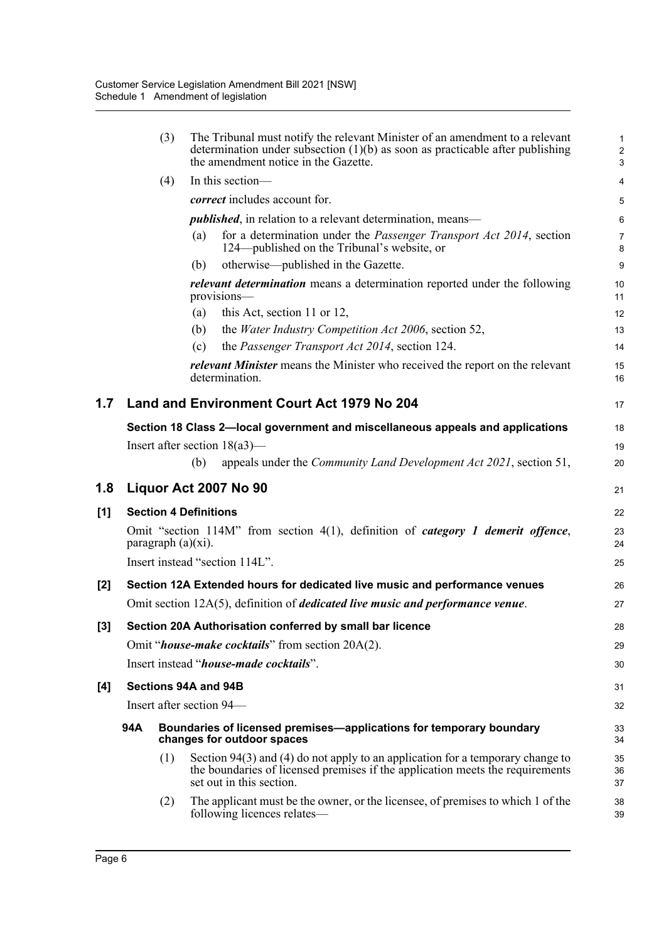|     |     | (3)                   | The Tribunal must notify the relevant Minister of an amendment to a relevant<br>determination under subsection $(1)(b)$ as soon as practicable after publishing<br>the amendment notice in the Gazette. | $\mathbf{1}$<br>$\boldsymbol{2}$<br>3 |
|-----|-----|-----------------------|---------------------------------------------------------------------------------------------------------------------------------------------------------------------------------------------------------|---------------------------------------|
|     |     | (4)                   | In this section-                                                                                                                                                                                        | $\overline{4}$                        |
|     |     |                       | <i>correct</i> includes account for.                                                                                                                                                                    | 5                                     |
|     |     |                       | <i>published</i> , in relation to a relevant determination, means—                                                                                                                                      | $6\phantom{1}$                        |
|     |     |                       | for a determination under the Passenger Transport Act 2014, section<br>(a)<br>124—published on the Tribunal's website, or                                                                               | $\overline{7}$<br>8                   |
|     |     |                       | otherwise—published in the Gazette.<br>(b)                                                                                                                                                              | 9                                     |
|     |     |                       | <i>relevant determination</i> means a determination reported under the following<br>provisions-                                                                                                         | 10<br>11                              |
|     |     |                       | this Act, section 11 or 12,<br>(a)                                                                                                                                                                      | 12                                    |
|     |     |                       | the <i>Water Industry Competition Act 2006</i> , section 52,<br>(b)                                                                                                                                     | 13                                    |
|     |     |                       | the Passenger Transport Act 2014, section 124.<br>(c)                                                                                                                                                   | 14                                    |
|     |     |                       | <i>relevant Minister</i> means the Minister who received the report on the relevant<br>determination.                                                                                                   | 15<br>16                              |
| 1.7 |     |                       | Land and Environment Court Act 1979 No 204                                                                                                                                                              | 17                                    |
|     |     |                       | Section 18 Class 2-local government and miscellaneous appeals and applications                                                                                                                          | 18                                    |
|     |     |                       | Insert after section $18(a3)$ —                                                                                                                                                                         | 19                                    |
|     |     |                       | appeals under the <i>Community Land Development Act 2021</i> , section 51,<br>(b)                                                                                                                       | 20                                    |
| 1.8 |     |                       | Liquor Act 2007 No 90                                                                                                                                                                                   | 21                                    |
| [1] |     |                       | <b>Section 4 Definitions</b>                                                                                                                                                                            | 22                                    |
|     |     | paragraph $(a)(xi)$ . | Omit "section 114M" from section 4(1), definition of <i>category 1 demerit offence</i> ,                                                                                                                | 23<br>24                              |
|     |     |                       | Insert instead "section 114L".                                                                                                                                                                          | 25                                    |
| [2] |     |                       | Section 12A Extended hours for dedicated live music and performance venues                                                                                                                              | 26                                    |
|     |     |                       | Omit section $12A(5)$ , definition of <i>dedicated live music and performance venue</i> .                                                                                                               | 27                                    |
| [3] |     |                       | Section 20A Authorisation conferred by small bar licence                                                                                                                                                | 28                                    |
|     |     |                       | Omit " <i>house-make cocktails</i> " from section 20A(2).                                                                                                                                               | 29                                    |
|     |     |                       | Insert instead " <i>house-made cocktails</i> ".                                                                                                                                                         | 30                                    |
|     |     |                       |                                                                                                                                                                                                         |                                       |
| [4] |     |                       | Sections 94A and 94B                                                                                                                                                                                    | 31                                    |
|     |     |                       | Insert after section 94—                                                                                                                                                                                | 32                                    |
|     | 94A |                       | Boundaries of licensed premises-applications for temporary boundary<br>changes for outdoor spaces                                                                                                       | 33<br>34                              |
|     |     | (1)                   | Section $94(3)$ and (4) do not apply to an application for a temporary change to<br>the boundaries of licensed premises if the application meets the requirements<br>set out in this section.           | 35<br>36<br>37                        |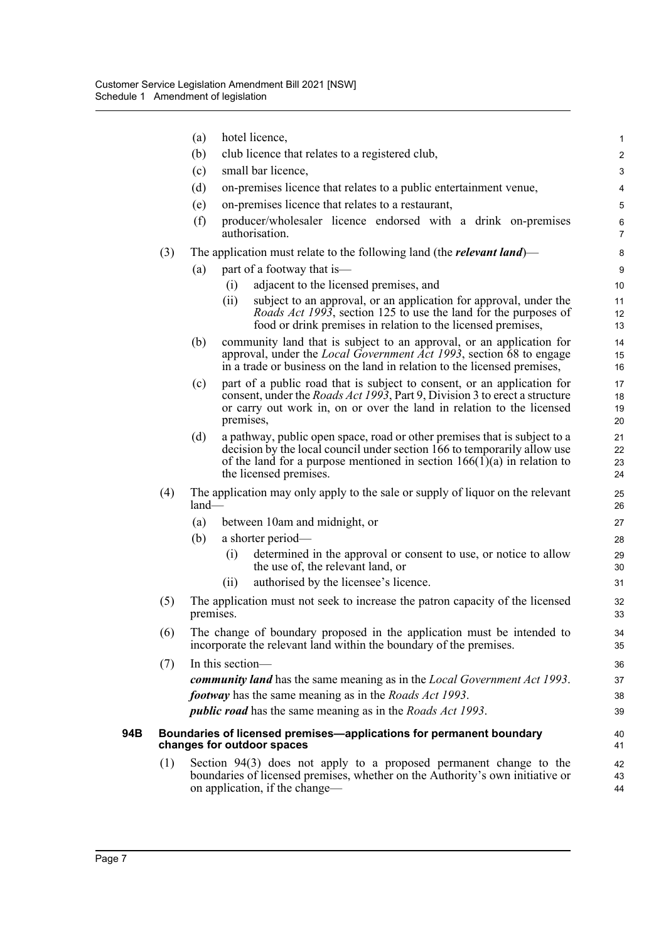|     |     | (a)       | hotel licence,                                                                                                                                                                                                                                               | $\mathbf{1}$              |
|-----|-----|-----------|--------------------------------------------------------------------------------------------------------------------------------------------------------------------------------------------------------------------------------------------------------------|---------------------------|
|     |     | (b)       | club licence that relates to a registered club,                                                                                                                                                                                                              | $\overline{c}$            |
|     |     | (c)       | small bar licence,                                                                                                                                                                                                                                           | 3                         |
|     |     | (d)       | on-premises licence that relates to a public entertainment venue,                                                                                                                                                                                            | $\overline{4}$            |
|     |     | (e)       | on-premises licence that relates to a restaurant,                                                                                                                                                                                                            | $\mathbf 5$               |
|     |     | (f)       | producer/wholesaler licence endorsed with a drink on-premises<br>authorisation.                                                                                                                                                                              | $\,6\,$<br>$\overline{7}$ |
|     | (3) |           | The application must relate to the following land (the <i>relevant land</i> )—                                                                                                                                                                               | 8                         |
|     |     | (a)       | part of a footway that is—                                                                                                                                                                                                                                   | 9                         |
|     |     |           | adjacent to the licensed premises, and<br>(i)                                                                                                                                                                                                                | 10                        |
|     |     |           | subject to an approval, or an application for approval, under the<br>(ii)<br><i>Roads Act 1993</i> , section 125 to use the land for the purposes of<br>food or drink premises in relation to the licensed premises,                                         | 11<br>12<br>13            |
|     |     | (b)       | community land that is subject to an approval, or an application for<br>approval, under the <i>Local Government Act 1993</i> , section 68 to engage<br>in a trade or business on the land in relation to the licensed premises,                              | 14<br>15<br>16            |
|     |     | (c)       | part of a public road that is subject to consent, or an application for<br>consent, under the <i>Roads Act 1993</i> , Part 9, Division 3 to erect a structure<br>or carry out work in, on or over the land in relation to the licensed<br>premises,          | 17<br>18<br>19<br>20      |
|     |     | (d)       | a pathway, public open space, road or other premises that is subject to a<br>decision by the local council under section 166 to temporarily allow use<br>of the land for a purpose mentioned in section $166(1)(a)$ in relation to<br>the licensed premises. | 21<br>22<br>23<br>24      |
|     | (4) | $land-$   | The application may only apply to the sale or supply of liquor on the relevant                                                                                                                                                                               | 25<br>26                  |
|     |     | (a)       | between 10am and midnight, or                                                                                                                                                                                                                                | 27                        |
|     |     | (b)       | a shorter period—                                                                                                                                                                                                                                            | 28                        |
|     |     |           | determined in the approval or consent to use, or notice to allow<br>(i)<br>the use of, the relevant land, or                                                                                                                                                 | 29<br>30                  |
|     |     |           | authorised by the licensee's licence.<br>(ii)                                                                                                                                                                                                                | 31                        |
|     | (5) | premises. | The application must not seek to increase the patron capacity of the licensed                                                                                                                                                                                | 32<br>33                  |
|     | (6) |           | The change of boundary proposed in the application must be intended to<br>incorporate the relevant land within the boundary of the premises.                                                                                                                 | 34<br>35                  |
|     | (7) |           | In this section-                                                                                                                                                                                                                                             | 36                        |
|     |     |           | <b>community land</b> has the same meaning as in the <i>Local Government Act 1993</i> .                                                                                                                                                                      | 37                        |
|     |     |           | <i>footway</i> has the same meaning as in the <i>Roads Act 1993</i> .                                                                                                                                                                                        | 38                        |
|     |     |           | <i>public road</i> has the same meaning as in the <i>Roads Act 1993</i> .                                                                                                                                                                                    | 39                        |
| 94B |     |           | Boundaries of licensed premises—applications for permanent boundary<br>changes for outdoor spaces                                                                                                                                                            | 40<br>41                  |
|     | (1) |           | Section $94(3)$ does not apply to a proposed permanent change to the<br>boundaries of licensed premises, whether on the Authority's own initiative or<br>on application, if the change—                                                                      | 42<br>43<br>44            |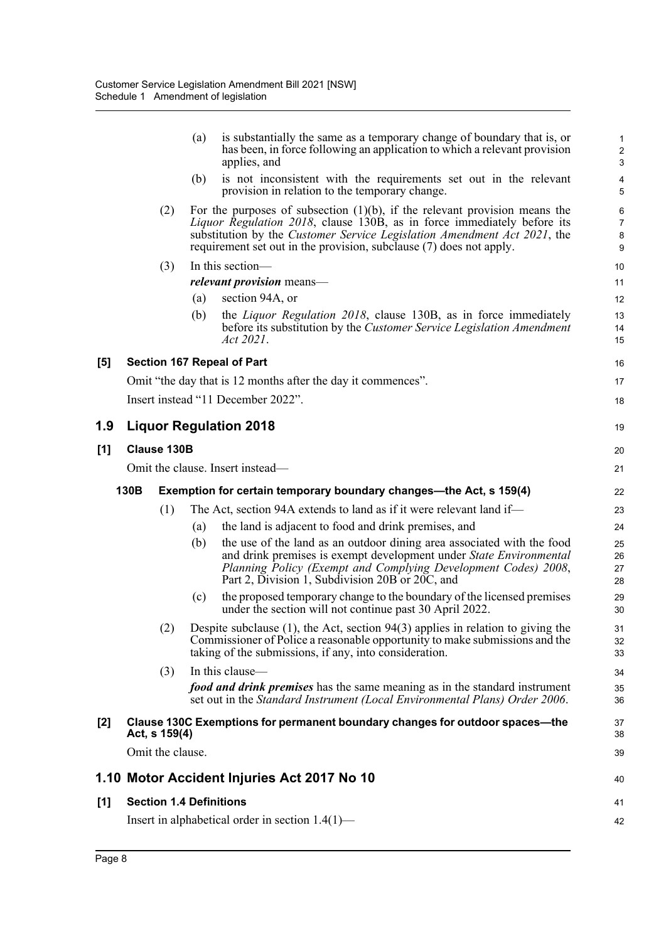|     |      |                    | is substantially the same as a temporary change of boundary that is, or<br>(a)<br>has been, in force following an application to which a relevant provision<br>applies, and                                                                                                                                         | $\mathbf{1}$<br>$\overline{2}$<br>3 |
|-----|------|--------------------|---------------------------------------------------------------------------------------------------------------------------------------------------------------------------------------------------------------------------------------------------------------------------------------------------------------------|-------------------------------------|
|     |      |                    | is not inconsistent with the requirements set out in the relevant<br>(b)<br>provision in relation to the temporary change.                                                                                                                                                                                          | $\overline{\mathbf{4}}$<br>5        |
|     |      | (2)                | For the purposes of subsection $(1)(b)$ , if the relevant provision means the<br><i>Liquor Regulation 2018</i> , clause 130B, as in force immediately before its<br>substitution by the Customer Service Legislation Amendment Act 2021, the<br>requirement set out in the provision, subclause (7) does not apply. | $\,6\,$<br>7<br>$\bf 8$<br>$9\,$    |
|     |      | (3)                | In this section-                                                                                                                                                                                                                                                                                                    | 10                                  |
|     |      |                    | <i>relevant provision</i> means—                                                                                                                                                                                                                                                                                    | 11                                  |
|     |      |                    | section 94A, or<br>(a)                                                                                                                                                                                                                                                                                              | 12                                  |
|     |      |                    | the <i>Liquor Regulation 2018</i> , clause 130B, as in force immediately<br>(b)<br>before its substitution by the Customer Service Legislation Amendment<br>Act 2021.                                                                                                                                               | 13<br>14<br>15                      |
| [5] |      |                    | Section 167 Repeal of Part                                                                                                                                                                                                                                                                                          | 16                                  |
|     |      |                    | Omit "the day that is 12 months after the day it commences".                                                                                                                                                                                                                                                        | 17                                  |
|     |      |                    | Insert instead "11 December 2022".                                                                                                                                                                                                                                                                                  | 18                                  |
| 1.9 |      |                    | <b>Liquor Regulation 2018</b>                                                                                                                                                                                                                                                                                       | 19                                  |
| [1] |      | <b>Clause 130B</b> |                                                                                                                                                                                                                                                                                                                     | 20                                  |
|     |      |                    | Omit the clause. Insert instead-                                                                                                                                                                                                                                                                                    | 21                                  |
|     | 130B |                    | Exemption for certain temporary boundary changes—the Act, s 159(4)                                                                                                                                                                                                                                                  | 22                                  |
|     |      | (1)                | The Act, section 94A extends to land as if it were relevant land if—                                                                                                                                                                                                                                                | 23                                  |
|     |      |                    | the land is adjacent to food and drink premises, and<br>(a)                                                                                                                                                                                                                                                         | 24                                  |
|     |      |                    | the use of the land as an outdoor dining area associated with the food<br>(b)<br>and drink premises is exempt development under State Environmental<br>Planning Policy (Exempt and Complying Development Codes) 2008,<br>Part 2, Division 1, Subdivision 20B or 20C, and                                            | 25<br>26<br>27<br>28                |
|     |      |                    | the proposed temporary change to the boundary of the licensed premises<br>(c)<br>under the section will not continue past 30 April 2022.                                                                                                                                                                            | 29<br>30                            |
|     |      | (2)                | Despite subclause $(1)$ , the Act, section 94 $(3)$ applies in relation to giving the<br>Commissioner of Police a reasonable opportunity to make submissions and the<br>taking of the submissions, if any, into consideration.                                                                                      | 31<br>32<br>33                      |
|     |      | (3)                | In this clause—                                                                                                                                                                                                                                                                                                     | 34                                  |
|     |      |                    | <i>food and drink premises</i> has the same meaning as in the standard instrument<br>set out in the Standard Instrument (Local Environmental Plans) Order 2006.                                                                                                                                                     | 35<br>36                            |
| [2] |      |                    |                                                                                                                                                                                                                                                                                                                     |                                     |
|     |      | Act, s 159(4)      | Clause 130C Exemptions for permanent boundary changes for outdoor spaces-the                                                                                                                                                                                                                                        | 37<br>38                            |
|     |      | Omit the clause.   |                                                                                                                                                                                                                                                                                                                     | 39                                  |
|     |      |                    | 1.10 Motor Accident Injuries Act 2017 No 10                                                                                                                                                                                                                                                                         | 40                                  |
|     |      |                    |                                                                                                                                                                                                                                                                                                                     |                                     |
| [1] |      |                    | <b>Section 1.4 Definitions</b><br>Insert in alphabetical order in section $1.4(1)$ —                                                                                                                                                                                                                                | 41<br>42                            |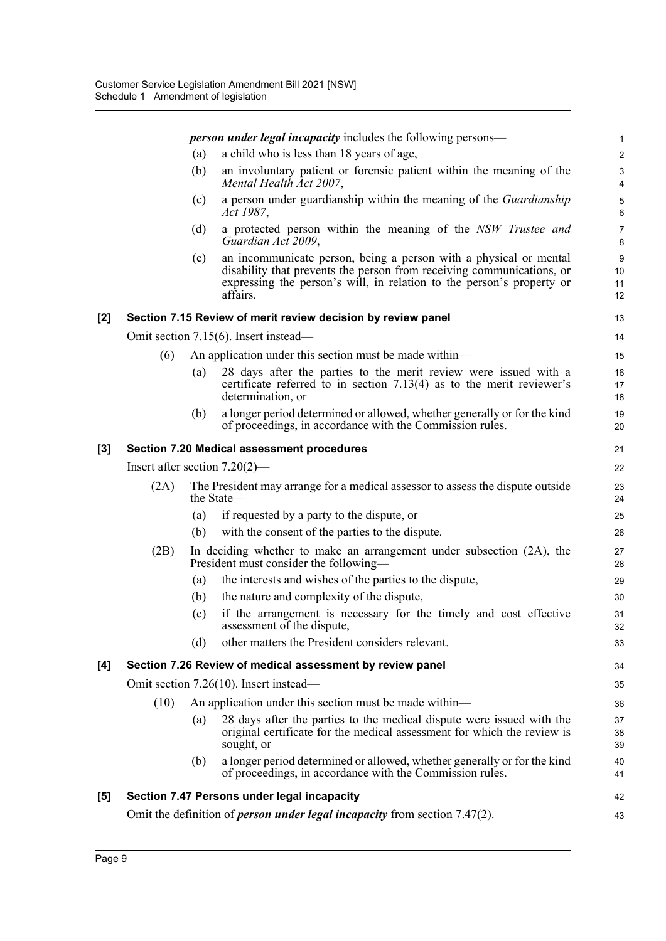|                  |      |     | <i>person under legal incapacity</i> includes the following persons—                                                                                                                                                            | 1                            |
|------------------|------|-----|---------------------------------------------------------------------------------------------------------------------------------------------------------------------------------------------------------------------------------|------------------------------|
|                  |      | (a) | a child who is less than 18 years of age,                                                                                                                                                                                       | $\overline{2}$               |
|                  |      | (b) | an involuntary patient or forensic patient within the meaning of the<br>Mental Health Act 2007,                                                                                                                                 | $\sqrt{3}$<br>$\overline{4}$ |
|                  |      | (c) | a person under guardianship within the meaning of the Guardianship<br>Act 1987,                                                                                                                                                 | 5<br>6                       |
|                  |      | (d) | a protected person within the meaning of the NSW Trustee and<br>Guardian Act 2009,                                                                                                                                              | $\overline{7}$<br>8          |
|                  |      | (e) | an incommunicate person, being a person with a physical or mental<br>disability that prevents the person from receiving communications, or<br>expressing the person's will, in relation to the person's property or<br>affairs. | $9\,$<br>10<br>11<br>12      |
| [2]              |      |     | Section 7.15 Review of merit review decision by review panel                                                                                                                                                                    | 13                           |
|                  |      |     | Omit section 7.15(6). Insert instead—                                                                                                                                                                                           | 14                           |
|                  | (6)  |     | An application under this section must be made within—                                                                                                                                                                          | 15                           |
|                  |      | (a) | 28 days after the parties to the merit review were issued with a<br>certificate referred to in section $7.13(4)$ as to the merit reviewer's<br>determination, or                                                                | 16<br>17<br>18               |
|                  |      | (b) | a longer period determined or allowed, whether generally or for the kind<br>of proceedings, in accordance with the Commission rules.                                                                                            | 19<br>20                     |
| $\left[3\right]$ |      |     | Section 7.20 Medical assessment procedures                                                                                                                                                                                      | 21                           |
|                  |      |     | Insert after section $7.20(2)$ —                                                                                                                                                                                                | 22                           |
|                  | (2A) |     | The President may arrange for a medical assessor to assess the dispute outside<br>the State-                                                                                                                                    | 23<br>24                     |
|                  |      | (a) | if requested by a party to the dispute, or                                                                                                                                                                                      | 25                           |
|                  |      | (b) | with the consent of the parties to the dispute.                                                                                                                                                                                 | 26                           |
|                  | (2B) |     | In deciding whether to make an arrangement under subsection (2A), the<br>President must consider the following—                                                                                                                 | 27<br>28                     |
|                  |      | (a) | the interests and wishes of the parties to the dispute,                                                                                                                                                                         | 29                           |
|                  |      | (b) | the nature and complexity of the dispute,                                                                                                                                                                                       | 30                           |
|                  |      | (c) | if the arrangement is necessary for the timely and cost effective<br>assessment of the dispute,                                                                                                                                 | 31<br>32                     |
|                  |      | (d) | other matters the President considers relevant.                                                                                                                                                                                 | 33                           |
| [4]              |      |     | Section 7.26 Review of medical assessment by review panel                                                                                                                                                                       | 34                           |
|                  |      |     | Omit section 7.26(10). Insert instead—                                                                                                                                                                                          | 35                           |
|                  | (10) |     | An application under this section must be made within-                                                                                                                                                                          | 36                           |
|                  |      | (a) | 28 days after the parties to the medical dispute were issued with the<br>original certificate for the medical assessment for which the review is<br>sought, or                                                                  | 37<br>38<br>39               |
|                  |      | (b) | a longer period determined or allowed, whether generally or for the kind<br>of proceedings, in accordance with the Commission rules.                                                                                            | 40<br>41                     |
| [5]              |      |     | Section 7.47 Persons under legal incapacity                                                                                                                                                                                     | 42                           |
|                  |      |     | Omit the definition of <i>person under legal incapacity</i> from section $7.47(2)$ .                                                                                                                                            | 43                           |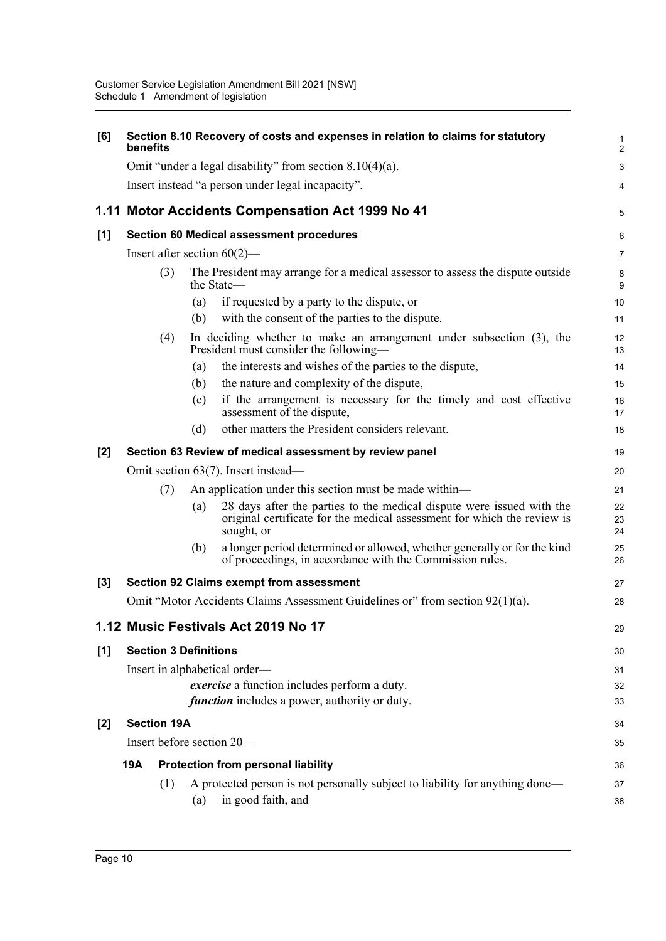| [6]   | benefits |                              |     | Section 8.10 Recovery of costs and expenses in relation to claims for statutory                                                                                | 1<br>$\overline{2}$ |
|-------|----------|------------------------------|-----|----------------------------------------------------------------------------------------------------------------------------------------------------------------|---------------------|
|       |          |                              |     | Omit "under a legal disability" from section $8.10(4)(a)$ .                                                                                                    | $\mathbf{3}$        |
|       |          |                              |     | Insert instead "a person under legal incapacity".                                                                                                              | 4                   |
|       |          |                              |     | 1.11 Motor Accidents Compensation Act 1999 No 41                                                                                                               | 5                   |
| $[1]$ |          |                              |     | <b>Section 60 Medical assessment procedures</b>                                                                                                                | $\,6\,$             |
|       |          |                              |     | Insert after section $60(2)$ —                                                                                                                                 | $\overline{7}$      |
|       |          | (3)                          |     | The President may arrange for a medical assessor to assess the dispute outside<br>the State—                                                                   | 8<br>9              |
|       |          |                              | (a) | if requested by a party to the dispute, or                                                                                                                     | 10                  |
|       |          |                              | (b) | with the consent of the parties to the dispute.                                                                                                                | 11                  |
|       |          | (4)                          |     | In deciding whether to make an arrangement under subsection (3), the<br>President must consider the following-                                                 | 12<br>13            |
|       |          |                              | (a) | the interests and wishes of the parties to the dispute,                                                                                                        | 14                  |
|       |          |                              | (b) | the nature and complexity of the dispute,                                                                                                                      | 15                  |
|       |          |                              | (c) | if the arrangement is necessary for the timely and cost effective<br>assessment of the dispute,                                                                | 16<br>17            |
|       |          |                              | (d) | other matters the President considers relevant.                                                                                                                | 18                  |
| $[2]$ |          |                              |     | Section 63 Review of medical assessment by review panel                                                                                                        | 19                  |
|       |          |                              |     | Omit section 63(7). Insert instead—                                                                                                                            | 20                  |
|       |          | (7)                          |     | An application under this section must be made within—                                                                                                         | 21                  |
|       |          |                              | (a) | 28 days after the parties to the medical dispute were issued with the<br>original certificate for the medical assessment for which the review is<br>sought, or | 22<br>23<br>24      |
|       |          |                              | (b) | a longer period determined or allowed, whether generally or for the kind<br>of proceedings, in accordance with the Commission rules.                           | 25<br>26            |
| [3]   |          |                              |     | <b>Section 92 Claims exempt from assessment</b>                                                                                                                | 27                  |
|       |          |                              |     | Omit "Motor Accidents Claims Assessment Guidelines or" from section 92(1)(a).                                                                                  | 28                  |
|       |          |                              |     | 1.12 Music Festivals Act 2019 No 17                                                                                                                            | 29                  |
| [1]   |          | <b>Section 3 Definitions</b> |     |                                                                                                                                                                | 30                  |
|       |          |                              |     | Insert in alphabetical order-                                                                                                                                  | 31                  |
|       |          |                              |     | exercise a function includes perform a duty.                                                                                                                   | 32                  |
|       |          |                              |     | <i>function</i> includes a power, authority or duty.                                                                                                           | 33                  |
| [2]   |          | <b>Section 19A</b>           |     |                                                                                                                                                                | 34                  |
|       |          |                              |     | Insert before section 20-                                                                                                                                      | 35                  |
|       | 19A      |                              |     | <b>Protection from personal liability</b>                                                                                                                      | 36                  |
|       |          | (1)                          |     | A protected person is not personally subject to liability for anything done—                                                                                   | 37                  |
|       |          |                              | (a) | in good faith, and                                                                                                                                             | 38                  |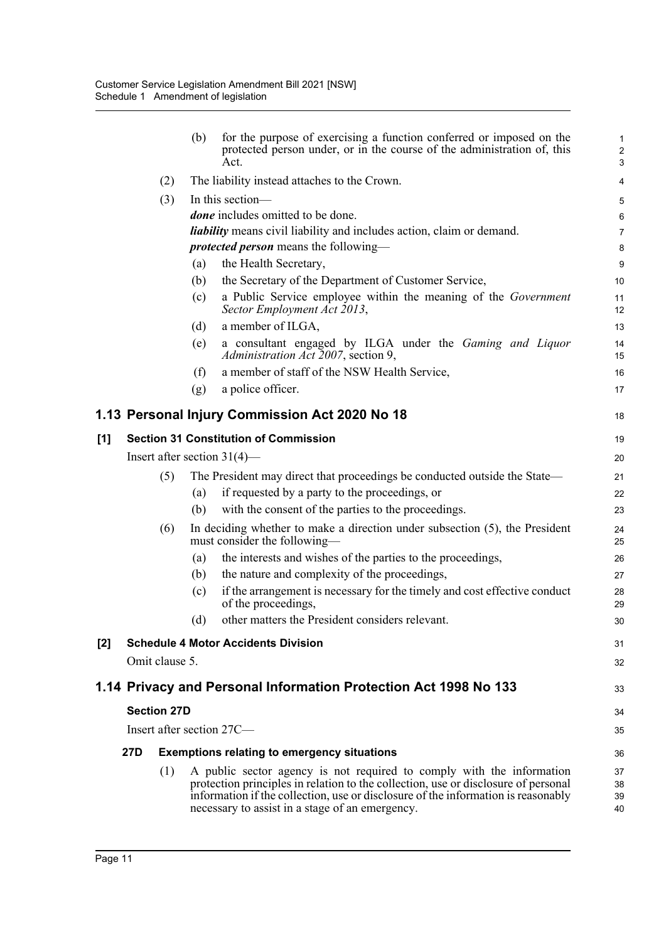|     |                                | (b) | for the purpose of exercising a function conferred or imposed on the<br>protected person under, or in the course of the administration of, this<br>Act.                                                                                                                                             | $\mathbf{1}$<br>$\overline{2}$<br>$\sqrt{3}$ |
|-----|--------------------------------|-----|-----------------------------------------------------------------------------------------------------------------------------------------------------------------------------------------------------------------------------------------------------------------------------------------------------|----------------------------------------------|
|     | (2)                            |     | The liability instead attaches to the Crown.                                                                                                                                                                                                                                                        | 4                                            |
|     | (3)                            |     | In this section-                                                                                                                                                                                                                                                                                    | 5                                            |
|     |                                |     | <i>done</i> includes omitted to be done.                                                                                                                                                                                                                                                            | $\,6\,$                                      |
|     |                                |     | <i>liability</i> means civil liability and includes action, claim or demand.                                                                                                                                                                                                                        | 7                                            |
|     |                                |     | <i>protected person</i> means the following-                                                                                                                                                                                                                                                        | 8                                            |
|     |                                | (a) | the Health Secretary,                                                                                                                                                                                                                                                                               | 9                                            |
|     |                                | (b) | the Secretary of the Department of Customer Service,                                                                                                                                                                                                                                                | 10                                           |
|     |                                | (c) | a Public Service employee within the meaning of the Government<br>Sector Employment Act 2013,                                                                                                                                                                                                       | 11<br>12                                     |
|     |                                | (d) | a member of ILGA,                                                                                                                                                                                                                                                                                   | 13                                           |
|     |                                | (e) | a consultant engaged by ILGA under the Gaming and Liquor<br>Administration Act 2007, section 9,                                                                                                                                                                                                     | 14<br>15                                     |
|     |                                | (f) | a member of staff of the NSW Health Service,                                                                                                                                                                                                                                                        | 16                                           |
|     |                                | (g) | a police officer.                                                                                                                                                                                                                                                                                   | 17                                           |
|     |                                |     | 1.13 Personal Injury Commission Act 2020 No 18                                                                                                                                                                                                                                                      | 18                                           |
| [1] |                                |     | <b>Section 31 Constitution of Commission</b>                                                                                                                                                                                                                                                        | 19                                           |
|     | Insert after section $31(4)$ — |     |                                                                                                                                                                                                                                                                                                     | 20                                           |
|     | (5)                            |     | The President may direct that proceedings be conducted outside the State—                                                                                                                                                                                                                           | 21                                           |
|     |                                | (a) | if requested by a party to the proceedings, or                                                                                                                                                                                                                                                      | 22                                           |
|     |                                | (b) | with the consent of the parties to the proceedings.                                                                                                                                                                                                                                                 | 23                                           |
|     | (6)                            |     | In deciding whether to make a direction under subsection $(5)$ , the President<br>must consider the following-                                                                                                                                                                                      | 24<br>25                                     |
|     |                                | (a) | the interests and wishes of the parties to the proceedings,                                                                                                                                                                                                                                         | 26                                           |
|     |                                | (b) | the nature and complexity of the proceedings,                                                                                                                                                                                                                                                       | 27                                           |
|     |                                | (c) | if the arrangement is necessary for the timely and cost effective conduct<br>of the proceedings,                                                                                                                                                                                                    | 28<br>29                                     |
|     |                                | (d) | other matters the President considers relevant.                                                                                                                                                                                                                                                     | 30                                           |
| [2] |                                |     | <b>Schedule 4 Motor Accidents Division</b>                                                                                                                                                                                                                                                          | 31                                           |
|     | Omit clause 5.                 |     |                                                                                                                                                                                                                                                                                                     | 32                                           |
|     |                                |     | 1.14 Privacy and Personal Information Protection Act 1998 No 133                                                                                                                                                                                                                                    | 33                                           |
|     | <b>Section 27D</b>             |     |                                                                                                                                                                                                                                                                                                     | 34                                           |
|     | Insert after section 27C—      |     |                                                                                                                                                                                                                                                                                                     | 35                                           |
|     | 27D                            |     | <b>Exemptions relating to emergency situations</b>                                                                                                                                                                                                                                                  | 36                                           |
|     | (1)                            |     | A public sector agency is not required to comply with the information<br>protection principles in relation to the collection, use or disclosure of personal<br>information if the collection, use or disclosure of the information is reasonably<br>necessary to assist in a stage of an emergency. | 37<br>38<br>39<br>40                         |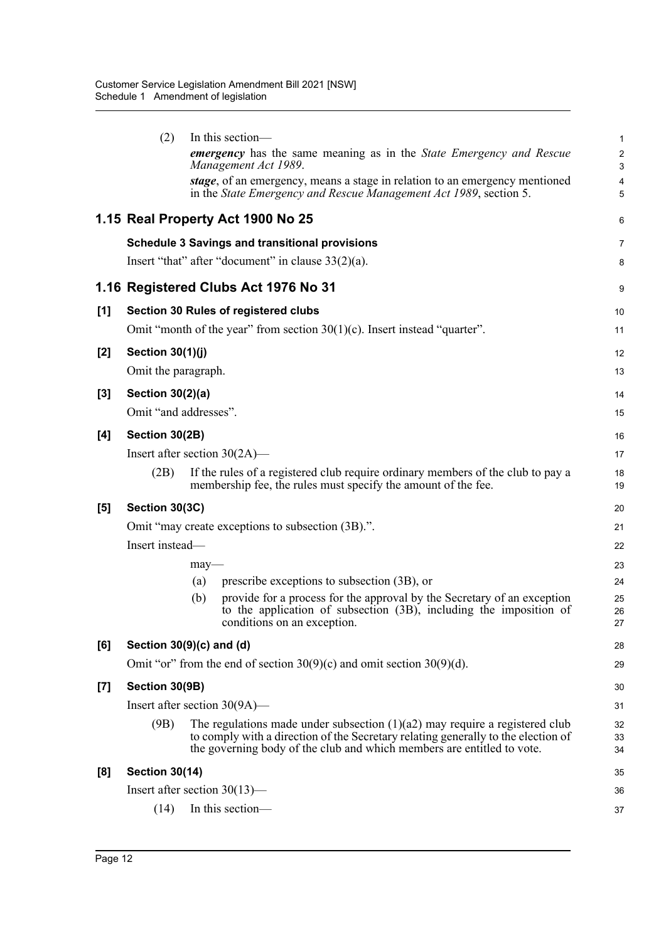|       | (2)                     | In this section-                                                                                                                                                                                                                             | $\mathbf{1}$          |
|-------|-------------------------|----------------------------------------------------------------------------------------------------------------------------------------------------------------------------------------------------------------------------------------------|-----------------------|
|       |                         | emergency has the same meaning as in the State Emergency and Rescue<br>Management Act 1989.                                                                                                                                                  | $\boldsymbol{2}$<br>3 |
|       |                         | stage, of an emergency, means a stage in relation to an emergency mentioned<br>in the State Emergency and Rescue Management Act 1989, section 5.                                                                                             | $\overline{4}$<br>5   |
|       |                         | 1.15 Real Property Act 1900 No 25                                                                                                                                                                                                            | 6                     |
|       |                         | <b>Schedule 3 Savings and transitional provisions</b>                                                                                                                                                                                        | 7                     |
|       |                         | Insert "that" after "document" in clause $33(2)(a)$ .                                                                                                                                                                                        | 8                     |
|       |                         | 1.16 Registered Clubs Act 1976 No 31                                                                                                                                                                                                         | 9                     |
| [1]   |                         | Section 30 Rules of registered clubs                                                                                                                                                                                                         | 10                    |
|       |                         | Omit "month of the year" from section $30(1)(c)$ . Insert instead "quarter".                                                                                                                                                                 | 11                    |
| $[2]$ | <b>Section 30(1)(j)</b> |                                                                                                                                                                                                                                              | 12                    |
|       | Omit the paragraph.     |                                                                                                                                                                                                                                              | 13                    |
| [3]   | <b>Section 30(2)(a)</b> |                                                                                                                                                                                                                                              | 14                    |
|       |                         | Omit "and addresses".                                                                                                                                                                                                                        | 15                    |
| [4]   | Section 30(2B)          |                                                                                                                                                                                                                                              | 16                    |
|       |                         | Insert after section $30(2A)$ —                                                                                                                                                                                                              | 17                    |
|       | (2B)                    | If the rules of a registered club require ordinary members of the club to pay a<br>membership fee, the rules must specify the amount of the fee.                                                                                             | 18<br>19              |
| [5]   | Section 30(3C)          |                                                                                                                                                                                                                                              | 20                    |
|       |                         | Omit "may create exceptions to subsection (3B).".                                                                                                                                                                                            | 21                    |
|       | Insert instead-         |                                                                                                                                                                                                                                              | 22                    |
|       |                         | $may$ —                                                                                                                                                                                                                                      | 23                    |
|       |                         | prescribe exceptions to subsection (3B), or<br>(a)                                                                                                                                                                                           | 24                    |
|       |                         | provide for a process for the approval by the Secretary of an exception<br>(b)<br>to the application of subsection (3B), including the imposition of<br>conditions on an exception.                                                          | 25<br>26<br>27        |
| [6]   |                         | Section $30(9)(c)$ and (d)                                                                                                                                                                                                                   | 28                    |
|       |                         | Omit "or" from the end of section $30(9)(c)$ and omit section $30(9)(d)$ .                                                                                                                                                                   | 29                    |
| $[7]$ | Section 30(9B)          |                                                                                                                                                                                                                                              | 30                    |
|       |                         | Insert after section $30(9A)$ —                                                                                                                                                                                                              | 31                    |
|       | (9B)                    | The regulations made under subsection $(1)(a2)$ may require a registered club<br>to comply with a direction of the Secretary relating generally to the election of<br>the governing body of the club and which members are entitled to vote. | 32<br>33<br>34        |
| [8]   | <b>Section 30(14)</b>   |                                                                                                                                                                                                                                              | 35                    |
|       |                         | Insert after section $30(13)$ —                                                                                                                                                                                                              | 36                    |
|       | (14)                    | In this section-                                                                                                                                                                                                                             | 37                    |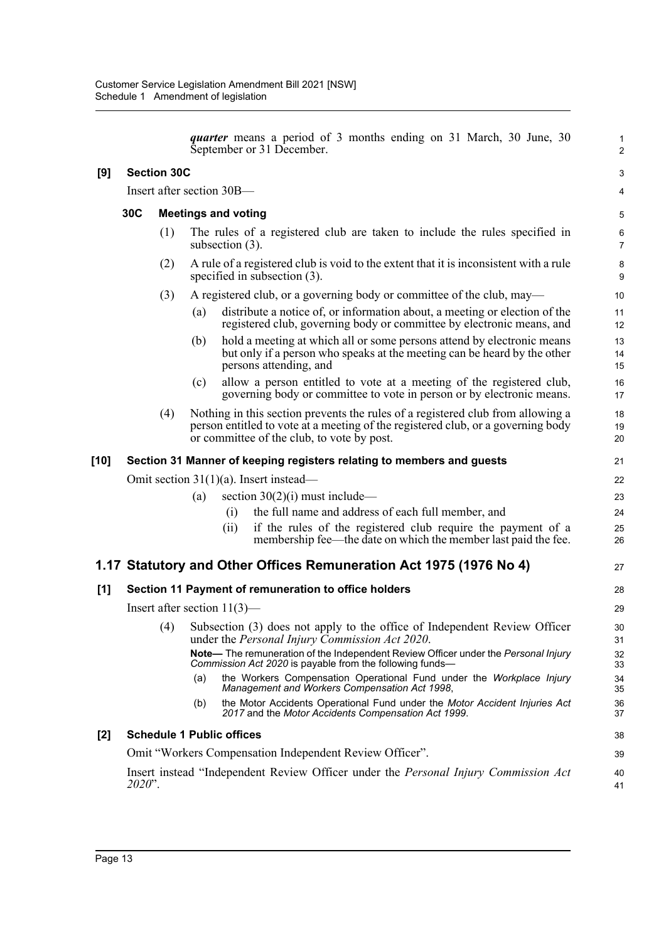|       |                                                         |                                                                       |                                                                                                                                         | quarter means a period of 3 months ending on 31 March, 30 June, 30<br>September or 31 December.                                                                                                                   |  | $\mathbf{1}$<br>2   |  |  |
|-------|---------------------------------------------------------|-----------------------------------------------------------------------|-----------------------------------------------------------------------------------------------------------------------------------------|-------------------------------------------------------------------------------------------------------------------------------------------------------------------------------------------------------------------|--|---------------------|--|--|
| [9]   | <b>Section 30C</b>                                      |                                                                       |                                                                                                                                         |                                                                                                                                                                                                                   |  |                     |  |  |
|       | Insert after section 30B-                               |                                                                       |                                                                                                                                         |                                                                                                                                                                                                                   |  |                     |  |  |
|       | 30C                                                     |                                                                       | <b>Meetings and voting</b>                                                                                                              |                                                                                                                                                                                                                   |  |                     |  |  |
|       |                                                         | (1)                                                                   | The rules of a registered club are taken to include the rules specified in<br>subsection $(3)$ .                                        |                                                                                                                                                                                                                   |  | 6<br>$\overline{7}$ |  |  |
|       |                                                         | (2)                                                                   | A rule of a registered club is void to the extent that it is inconsistent with a rule<br>specified in subsection $(3)$ .                |                                                                                                                                                                                                                   |  |                     |  |  |
|       |                                                         | (3)                                                                   | A registered club, or a governing body or committee of the club, may—                                                                   |                                                                                                                                                                                                                   |  |                     |  |  |
|       |                                                         |                                                                       | (a)                                                                                                                                     | distribute a notice of, or information about, a meeting or election of the<br>registered club, governing body or committee by electronic means, and                                                               |  | 11<br>12            |  |  |
|       |                                                         |                                                                       | (b)                                                                                                                                     | hold a meeting at which all or some persons attend by electronic means<br>but only if a person who speaks at the meeting can be heard by the other<br>persons attending, and                                      |  | 13<br>14<br>15      |  |  |
|       |                                                         |                                                                       | (c)                                                                                                                                     | allow a person entitled to vote at a meeting of the registered club,<br>governing body or committee to vote in person or by electronic means.                                                                     |  | 16<br>17            |  |  |
|       |                                                         | (4)                                                                   |                                                                                                                                         | Nothing in this section prevents the rules of a registered club from allowing a<br>person entitled to vote at a meeting of the registered club, or a governing body<br>or committee of the club, to vote by post. |  | 18<br>19<br>20      |  |  |
| [10]  |                                                         | Section 31 Manner of keeping registers relating to members and guests |                                                                                                                                         |                                                                                                                                                                                                                   |  |                     |  |  |
|       | Omit section $31(1)(a)$ . Insert instead—               |                                                                       |                                                                                                                                         |                                                                                                                                                                                                                   |  |                     |  |  |
|       |                                                         |                                                                       | (a)                                                                                                                                     | section $30(2)(i)$ must include—                                                                                                                                                                                  |  | 23                  |  |  |
|       |                                                         |                                                                       |                                                                                                                                         | the full name and address of each full member, and<br>(i)                                                                                                                                                         |  | 24                  |  |  |
|       |                                                         |                                                                       |                                                                                                                                         | if the rules of the registered club require the payment of a<br>(ii)<br>membership fee—the date on which the member last paid the fee.                                                                            |  | 25<br>26            |  |  |
|       |                                                         |                                                                       |                                                                                                                                         | 1.17 Statutory and Other Offices Remuneration Act 1975 (1976 No 4)                                                                                                                                                |  | 27                  |  |  |
| [1]   |                                                         |                                                                       |                                                                                                                                         | Section 11 Payment of remuneration to office holders                                                                                                                                                              |  | 28                  |  |  |
|       | Insert after section $11(3)$ —                          |                                                                       |                                                                                                                                         |                                                                                                                                                                                                                   |  |                     |  |  |
|       |                                                         |                                                                       | (4) Subsection (3) does not apply to the office of Independent Review Officer<br>under the <i>Personal Injury Commission Act 2020</i> . |                                                                                                                                                                                                                   |  |                     |  |  |
|       |                                                         |                                                                       |                                                                                                                                         | <b>Note—</b> The remuneration of the Independent Review Officer under the Personal Injury<br>Commission Act 2020 is payable from the following funds-                                                             |  | 32<br>33            |  |  |
|       |                                                         |                                                                       | (a)                                                                                                                                     | the Workers Compensation Operational Fund under the Workplace Injury<br>Management and Workers Compensation Act 1998,                                                                                             |  | 34<br>35            |  |  |
|       |                                                         |                                                                       | (b)                                                                                                                                     | the Motor Accidents Operational Fund under the Motor Accident Injuries Act<br>2017 and the Motor Accidents Compensation Act 1999.                                                                                 |  | 36<br>37            |  |  |
| $[2]$ | <b>Schedule 1 Public offices</b>                        |                                                                       |                                                                                                                                         |                                                                                                                                                                                                                   |  |                     |  |  |
|       | Omit "Workers Compensation Independent Review Officer". |                                                                       |                                                                                                                                         |                                                                                                                                                                                                                   |  |                     |  |  |
|       | $2020$ ".                                               |                                                                       |                                                                                                                                         | Insert instead "Independent Review Officer under the Personal Injury Commission Act                                                                                                                               |  | 40<br>41            |  |  |
|       |                                                         |                                                                       |                                                                                                                                         |                                                                                                                                                                                                                   |  |                     |  |  |